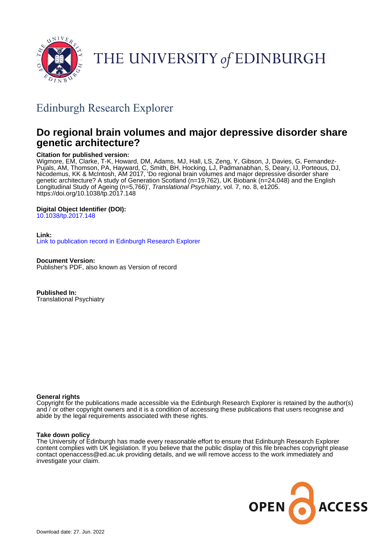

THE UNIVERSITY of EDINBURGH

## Edinburgh Research Explorer

## **Do regional brain volumes and major depressive disorder share genetic architecture?**

## **Citation for published version:**

Wigmore, EM, Clarke, T-K, Howard, DM, Adams, MJ, Hall, LS, Zeng, Y, Gibson, J, Davies, G, Fernandez-Pujals, AM, Thomson, PA, Hayward, C, Smith, BH, Hocking, LJ, Padmanabhan, S, Deary, IJ, Porteous, DJ, Nicodemus, KK & McIntosh, AM 2017, 'Do regional brain volumes and major depressive disorder share genetic architecture? A study of Generation Scotland (n=19,762), UK Biobank (n=24,048) and the English Longitudinal Study of Ageing (n=5,766)', Translational Psychiatry, vol. 7, no. 8, e1205. <https://doi.org/10.1038/tp.2017.148>

## **Digital Object Identifier (DOI):**

[10.1038/tp.2017.148](https://doi.org/10.1038/tp.2017.148)

### **Link:**

[Link to publication record in Edinburgh Research Explorer](https://www.research.ed.ac.uk/en/publications/d9ec7a6b-67c9-4502-b513-6d42b4e83d5f)

**Document Version:** Publisher's PDF, also known as Version of record

**Published In:** Translational Psychiatry

## **General rights**

Copyright for the publications made accessible via the Edinburgh Research Explorer is retained by the author(s) and / or other copyright owners and it is a condition of accessing these publications that users recognise and abide by the legal requirements associated with these rights.

### **Take down policy**

The University of Edinburgh has made every reasonable effort to ensure that Edinburgh Research Explorer content complies with UK legislation. If you believe that the public display of this file breaches copyright please contact openaccess@ed.ac.uk providing details, and we will remove access to the work immediately and investigate your claim.

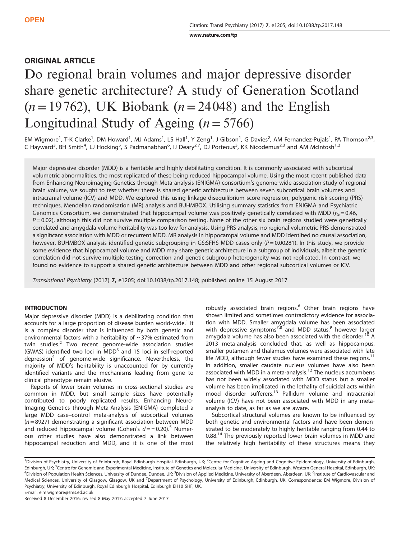[www.nature.com/tp](http://www.nature.com/tp)

## ORIGINAL ARTICLE

# Do regional brain volumes and major depressive disorder share genetic architecture? A study of Generation Scotland  $(n=19762)$ , UK Biobank  $(n=24048)$  and the English Longitudinal Study of Ageing  $(n=5766)$

EM Wigmore<sup>1</sup>, T-K Clarke<sup>1</sup>, DM Howard<sup>1</sup>, MJ Adams<sup>1</sup>, LS Hall<sup>1</sup>, Y Zeng<sup>1</sup>, J Gibson<sup>1</sup>, G Davies<sup>2</sup>, AM Fernandez-Pujals<sup>1</sup>, PA Thomson<sup>2,3</sup>, C Hayward<sup>3</sup>, BH Smith<sup>4</sup>, LJ Hocking<sup>5</sup>, S Padmanabhan<sup>6</sup>, IJ Deary<sup>2,7</sup>, DJ Porteous<sup>3</sup>, KK Nicodemus<sup>2,3</sup> and AM McIntosh<sup>1,2</sup>

Major depressive disorder (MDD) is a heritable and highly debilitating condition. It is commonly associated with subcortical volumetric abnormalities, the most replicated of these being reduced hippocampal volume. Using the most recent published data from Enhancing Neuroimaging Genetics through Meta-analysis (ENIGMA) consortium's genome-wide association study of regional brain volume, we sought to test whether there is shared genetic architecture between seven subcortical brain volumes and intracranial volume (ICV) and MDD. We explored this using linkage disequilibrium score regression, polygenic risk scoring (PRS) techniques, Mendelian randomisation (MR) analysis and BUHMBOX. Utilising summary statistics from ENIGMA and Psychiatric Genomics Consortium, we demonstrated that hippocampal volume was positively genetically correlated with MDD ( $r<sub>G</sub> = 0.46$ ,  $P = 0.02$ ), although this did not survive multiple comparison testing. None of the other six brain regions studied were genetically correlated and amygdala volume heritability was too low for analysis. Using PRS analysis, no regional volumetric PRS demonstrated a significant association with MDD or recurrent MDD. MR analysis in hippocampal volume and MDD identified no causal association, however, BUHMBOX analysis identified genetic subgrouping in GS:SFHS MDD cases only  $(P = 0.00281)$ . In this study, we provide some evidence that hippocampal volume and MDD may share genetic architecture in a subgroup of individuals, albeit the genetic correlation did not survive multiple testing correction and genetic subgroup heterogeneity was not replicated. In contrast, we found no evidence to support a shared genetic architecture between MDD and other regional subcortical volumes or ICV.

Translational Psychiatry (2017) 7, e1205; doi[:10.1038/tp.2017.148;](http://dx.doi.org/10.1038/tp.2017.148) published online 15 August 2017

#### INTRODUCTION

Major depressive disorder (MDD) is a debilitating condition that accounts for a large proportion of disease burden world-wide.<sup>[1](#page-8-0)</sup> It is a complex disorder that is influenced by both genetic and environmental factors with a heritability of  $\sim$  37% estimated from twin studies.<sup>[2](#page-8-0)</sup> Two recent genome-wide association studies (GWAS) identified two loci in  $MDD<sup>3</sup>$  $MDD<sup>3</sup>$  $MDD<sup>3</sup>$  and 15 loci in self-reported depression $4$  of genome-wide significance. Nevertheless, the majority of MDD's heritability is unaccounted for by currently identified variants and the mechanisms leading from gene to clinical phenotype remain elusive.

Reports of lower brain volumes in cross-sectional studies are common in MDD, but small sample sizes have potentially contributed to poorly replicated results. Enhancing Neuro-Imaging Genetics through Meta-Analysis (ENIGMA) completed a large MDD case–control meta-analysis of subcortical volumes  $(n = 8927)$  demonstrating a significant association between MDD and reduced hippocampal volume (Cohen's  $d = -0.20$ ).<sup>[5](#page-8-0)</sup> Numerous other studies have also demonstrated a link between hippocampal reduction and MDD, and it is one of the most robustly associated brain regions.<sup>[6](#page-8-0)</sup> Other brain regions have shown limited and sometimes contradictory evidence for association with MDD. Smaller amygdala volume has been associated with depressive symptoms<sup>[7](#page-8-0),[8](#page-8-0)</sup> and MDD status,<sup>[9](#page-8-0)</sup> however larger amygdala volume has also been associated with the disorder.<sup>[10](#page-8-0)</sup> A 2013 meta-analysis concluded that, as well as hippocampus, smaller putamen and thalamus volumes were associated with late life MDD, although fewer studies have examined these regions.<sup>[11](#page-8-0)</sup> In addition, smaller caudate nucleus volumes have also been associated with MDD in a meta-analysis.<sup>[12](#page-8-0)</sup> The nucleus accumbens has not been widely associated with MDD status but a smaller volume has been implicated in the lethality of suicidal acts within mood disorder sufferers.[13](#page-8-0) Pallidum volume and intracranial volume (ICV) have not been associated with MDD in any metaanalysis to date, as far as we are aware.

Subcortical structural volumes are known to be influenced by both genetic and environmental factors and have been demonstrated to be moderately to highly heritable ranging from 0.44 to 0.88.<sup>14</sup> The previously reported lower brain volumes in MDD and the relatively high heritability of these structures means they

E-mail: [e.m.wigmore@sms.ed.ac.uk](mailto:e.m.wigmore@sms.ed.ac.uk)

<sup>&</sup>lt;sup>1</sup>Division of Psychiatry, University of Edinburgh, Royal Edinburgh Hospital, Edinburgh, UK; <sup>2</sup>Centre for Cognitive Ageing and Cognitive Epidemiology, University of Edinburgh, Edinburgh, UK; <sup>3</sup>Centre for Genomic and Experimental Medicine, Institute of Genetics and Molecular Medicine, University of Edinburgh, Western General Hospital, Edinburgh, UK; <sup>4</sup>Division of Population Health Sciences, University of Dundee, Dundee, UK; <sup>5</sup>Division of Applied Medicine, University of Aberdeen, Aberdeen, UK; <sup>6</sup>Institute of Cardiovascular and Medical Sciences, University of Glasgow, Glasgow, UK and <sup>7</sup>Department of Psychology, University of Edinburgh, Edinburgh, UK. Correspondence: EM Wigmore, Division of Psychiatry, University of Edinburgh, Royal Edinburgh Hospital, Edinburgh EH10 5HF, UK.

Received 8 December 2016; revised 8 May 2017; accepted 7 June 2017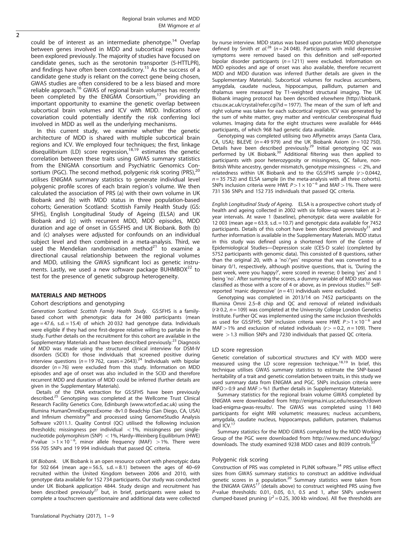could be of interest as an intermediate phenotype.<sup>[14](#page-8-0)</sup> Overlap between genes involved in MDD and subcortical regions have been explored previously. The majority of studies have focused on candidate genes, such as the serotonin transporter (5-HTTLPR), and findings have often been contradictory.<sup>[15](#page-8-0)</sup> As the success of a candidate gene study is reliant on the correct gene being chosen, GWAS studies are often considered to be a less biased and more reliable approach.<sup>[16](#page-8-0)</sup> GWAS of regional brain volumes has recently been completed by the ENIGMA Consortium,[17](#page-8-0) providing an important opportunity to examine the genetic overlap between subcortical brain volumes and ICV with MDD. Indications of covariation could potentially identify the risk conferring loci involved in MDD as well as the underlying mechanisms.

In this current study, we examine whether the genetic architecture of MDD is shared with multiple subcortical brain regions and ICV. We employed four techniques; the first, linkage disequilibrium (LD) score regression, $18,19$  $18,19$  $18,19$  estimates the genetic correlation between these traits using GWAS summary statistics from the ENIGMA consortium and Psychiatric Genomics Con-sortium (PGC). The second method, polygenic risk scoring (PRS),<sup>[20](#page-8-0)</sup> utilises ENIGMA summary statistics to generate individual level polygenic profile scores of each brain region's volume. We then calculated the association of PRS (a) with their own volume in UK Biobank and (b) with MDD status in three population-based cohorts; Generation Scotland: Scottish Family Health Study (GS: SFHS), English Longitudinal Study of Ageing (ELSA) and UK Biobank and (c) with recurrent MDD, MDD episodes, MDD duration and age of onset in GS:SFHS and UK Biobank. Both (b) and (c) analyses were adjusted for confounds on an individual subject level and then combined in a meta-analysis. Third, we used the Mendelian randomisation method $^{21}$  $^{21}$  $^{21}$  to examine a directional causal relationship between the regional volumes and MDD, utilising the GWAS significant loci as genetic instruments. Lastly, we used a new software package BUHMBOX $^{22}$  $^{22}$  $^{22}$  to test for the presence of genetic subgroup heterogeneity.

#### MATERIALS AND METHODS

#### Cohort descriptions and genotyping

Generation Scotland: Scottish Family Health Study. GS:SFHS is a familybased cohort with phenotypic data for 24 080 participants (mean  $age = 47.6$ , s.d.  $= 15.4$ ) of which 20032 had genotype data. Individuals were eligible if they had one first-degree relative willing to partake in the study. Further details on the recruitment for this cohort are available in the Supplementary Materials and have been described previously.<sup>[23](#page-8-0)</sup> Diagnosis of MDD was made using the structured clinical interview for DSM-IV disorders (SCID) for those individuals that screened positive during interview questions ( $n = 19762$ , cases = 2643).<sup>24</sup> Individuals with bipolar disorder ( $n = 76$ ) were excluded from this study. Information on MDD episodes and age of onset was also included in the SCID and therefore recurrent MDD and duration of MDD could be inferred (further details are given in the Supplementary Materials).

Details of the DNA extraction for GS:SFHS have been previously described.<sup>[25](#page-8-0)</sup> Genotyping was completed at the Wellcome Trust Clinical Research Facility Genetics Core, Edinburgh (<www.wtcrf.ed.ac.uk>) using the Illumina HumanOmniExpressExome -8v1.0 Beadchip (San Diego, CA, USA) and Infinium chemistry<sup>26</sup> and processed using GenomeStudio Analysis Software v2011.1. Quality Control (QC) utilised the following inclusion thresholds; missingness per individual  $<$  1%, missingness per singlenucleotide polymorphism (SNP)  $<$  1%, Hardy–Weinberg Equilibrium (HWE) P-value  $>1 \times 10^{-6}$ , minor allele frequency (MAF) > 1%. There were 556 705 SNPs and 19 994 individuals that passed QC criteria.

UK Biobank. UK Biobank is an open resource cohort with phenotypic data for 502 664 (mean age = 56.5, s.d. = 8.1) between the ages of 40-69 recruited within the United Kingdom between 2006 and 2010, with genotype data available for 152 734 participants. Our study was conducted under UK Biobank application 4844. Study design and recruitment has been described previously<sup>[27](#page-9-0)</sup> but, in brief, participants were asked to complete a touchscreen questionnaire and additional data were collected by nurse interview. MDD status was based upon putative MDD phenotype defined by Smith et al.<sup>[28](#page-9-0)</sup> (n = 24 048). Participants with mild depressive symptoms were removed based on this definition and self-reported bipolar disorder participants ( $n = 1211$ ) were excluded. Information on MDD episodes and age of onset was also available, therefore recurrent MDD and MDD duration was inferred (further details are given in the Supplementary Materials). Subcortical volumes for nucleus accumbens, amygdala, caudate nucleus, hippocampus, pallidum, putamen and thalamus were measured by T1-weighted structural imaging. The UK Biobank imaging protocol has been described elsewhere ([http://biobank.](http://biobank.ctsu.ox.ac.uk/crystal/refer.cgi?id�=�1977) [ctsu.ox.ac.uk/crystal/refer.cgi?id = 1977](http://biobank.ctsu.ox.ac.uk/crystal/refer.cgi?id�=�1977)). The mean of the sum of left and right volume was taken for each subcortical region. ICV was generated by the sum of white matter, grey matter and ventricular cerebrospinal fluid volumes. Imaging data for the eight structures were available for 4446 participants, of which 968 had genetic data available.

Genotyping was completed utilising two Affymetrix arrays (Santa Clara, CA, USA); BiLEVE ( $n = 49979$ ) and the UK Biobank Axiom ( $n = 102750$ ). Details have been described previously.<sup>29</sup> Initial genotyping QC was performed by UK Biobank.<sup>30</sup> Additional filtering was then applied to participants with poor heterozygosity or missingness, QC failure, non-British White ancestry, gender mismatch, genotype missingness  $<$  2%, and relatedness within UK Biobank and to the GS:SFHS sample  $(r>0.0442,$  $n = 35$  752) and ELSA sample (in the meta-analysis with all three cohorts). SNPs inclusion criteria were HWE  $P>1 \times 10^{-6}$  and MAF > 1%. There were 731 536 SNPs and 152 735 individuals that passed QC criteria.

English Longitudinal Study of Ageing. ELSA is a prospective cohort study of health and ageing collected in 2002 with six follow-up waves taken at 2 year intervals. At wave 1 (baseline), phenotypic data were available for 12 003 (mean age = 63.9, s.d. = 10.7) and genotypic data available for 7452 participants. Details of this cohort have been described previously<sup>[31](#page-9-0)</sup> and further information is available in the Supplementary Materials. MDD status in this study was defined using a shortened form of the Centre of Epidemiological Studies—Depression scale (CES-D scale) (completed by 5752 participants with genomic data). This consisted of 8 questions, rather than the original 20, with a 'no'/'yes' response that was converted to a binary 0/1, respectively, although positive questions, that is, 'During the past week, were you happy?', were scored in reverse; 0 being 'yes' and 1 being 'no'. After summing the scores, a dummy variable of MDD status was classified as those with a score of 4 or above, as in previous studies.<sup>[32](#page-9-0)</sup> Selfreported 'manic depressive'  $(n = 41)$  individuals were excluded.

Genotyping was completed in 2013/14 on 7452 participants on the Illumina Omni 2.5–8 chip and QC and removal of related individuals  $(r \ge 0.2, n = 109)$  was completed at the University College London Genetics Institute. Further QC was implemented using the same inclusion thresholds as used for GS:SFHS; SNP inclusion criteria were HWE  $P>1 \times 10^{-6}$  and MAF > 1% and exclusion of related individuals ( $r$  > = 0.2, n = 109). There were  $>$  1.3 million SNPs and 7230 individuals that passed QC criteria.

#### LD score regression

Genetic correlation of subcortical structures and ICV with MDD were measured using the LD score regression technique.<sup>18,19</sup> In brief, this technique utilises GWAS summary statistics to estimate the SNP-based heritability of a trait and genetic correlation between traits, in this study we used summary data from ENIGMA and PGC. SNPs inclusion criteria were  $INFO > 0.9$  and  $MAF > 0.9$  (further details in Supplementary Materials).

Summary statistics for the regional brain volume GWAS completed by ENIGMA were downloaded from [http://enigma.ini.usc.edu/research/down](http://enigma.ini.usc.edu/research/download-enigma-gwas-results/) [load-enigma-gwas-results/](http://enigma.ini.usc.edu/research/download-enigma-gwas-results/). The GWAS was completed using 11 840 participants for eight MRI volumetric measures; nucleus accumbens, amygdala, caudate nucleus, hippocampus, pallidum, putamen, thalamus and ICV.<sup>17</sup>

Summary statistics for the MDD GWAS completed by the MDD Working Group of the PGC were downloaded from [http://www.med.unc.edu/pgc/](http://www.med.unc.edu/pgc/downloads) [downloads.](http://www.med.unc.edu/pgc/downloads) The study examined 9238 MDD cases and 8039 controls.

#### Polygenic risk scoring

Construction of PRS was completed in PLINK software.<sup>[34](#page-9-0)</sup> PRS utilise effect sizes from GWAS summary statistics to construct an additive individual genetic scores in a population.<sup>[20](#page-8-0)</sup> Summary statistics were taken from the ENIGMA GWAS<sup>17</sup> (details above) to construct weighted PRS using five P-value thresholds: 0.01, 0.05, 0.1, 0.5 and 1, after SNPs underwent clumped-based pruning  $(r^2 = 0.25, 300$  kb window). All five thresholds are

 $\overline{2}$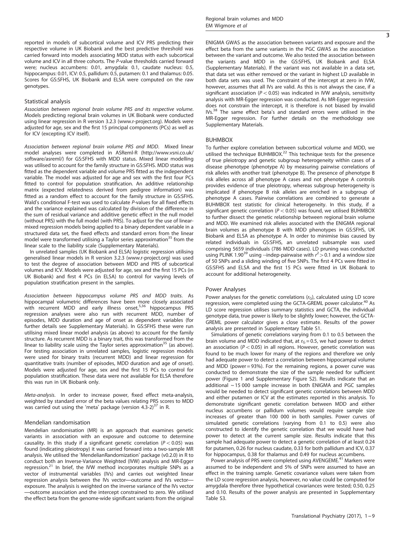reported in models of subcortical volume and ICV PRS predicting their respective volume in UK Biobank and the best predictive threshold was carried forward into models associating MDD status with each subcortical volume and ICV in all three cohorts. The P-value thresholds carried forward were; nucleus accumbens: 0.01, amygdala: 0.1, caudate nucleus: 0.5, hippocampus: 0.01, ICV: 0.5, pallidum: 0.5, putamen: 0.1 and thalamus: 0.05. Scores for GS:SFHS, UK Biobank and ELSA were computed on the raw genotypes.

#### Statistical analysis

Association between regional brain volume PRS and its respective volume. Models predicting regional brain volumes in UK Biobank were conducted using linear regression in R version 3.2.3 (<www.r-project.org>). Models were adjusted for age, sex and the first 15 principal components (PCs) as well as for ICV (excepting ICV itself).

Association between regional brain volume PRS and MDD. Mixed linear model analyses were completed in ASReml-R [\(http://www.vsni.co.uk/](http://www.vsni.co.uk/software/asreml/) [software/asreml/\)](http://www.vsni.co.uk/software/asreml/) for GS:SFHS with MDD status. Mixed linear modelling was utilised to account for the family structure in GS:SFHS. MDD status was fitted as the dependent variable and volume PRS fitted as the independent variable. The model was adjusted for age and sex with the first four PCs fitted to control for population stratification. An additive relationship matrix (expected relatedness derived from pedigree information) was fitted as a random effect to account for the family structure in GS:SFHS. Wald's conditional F-test was used to calculate P-values for all fixed effects and the variance explained was calculated by division of the difference in the sum of residual variance and additive genetic effect in the null model (without PRS) with the full model (with PRS). To adjust for the use of linearmixed regression models being applied to a binary dependent variable in a structured data set, the fixed effects and standard errors from the linear model were transformed utilising a Taylor series approximation<sup>[35](#page-9-0)</sup> from the linear scale to the liability scale (Supplementary Materials).

In unrelated samples (UK Biobank and ELSA) logistic regression utilising generalised linear models in R version 3.2.3 ([www.r-project.org\)](www.r-project.org) was used to test the degree of association between MDD and PRS of subcortical volumes and ICV. Models were adjusted for age, sex and the first 15 PCs (in UK Biobank) and first 4 PCs (in ELSA) to control for varying levels of population stratification present in the samples.

Association between hippocampus volume PRS and MDD traits. As hippocampal volumetric differences have been more closely associated<br>with recurrent MDD and early illness onset,<sup>[5,](#page-8-0)[36](#page-9-0)</sup> hippocampus PRS regression analyses were also run with recurrent MDD, number of episodes, MDD duration and age of onset as dependent variables (for further details see Supplementary Materials). In GS:SFHS these were run utilising mixed linear model analysis (as above) to account for the family structure. As recurrent MDD is a binary trait, this was transformed from the linear to liability scale using the Taylor series approximation<sup>35</sup> (as above). For testing association in unrelated samples, logistic regression models were used for binary traits (recurrent MDD) and linear regression for quantitative traits (number of episodes, MDD duration and age of onset). Models were adjusted for age, sex and the first 15 PCs to control for population stratification. These data were not available for ELSA therefore this was run in UK Biobank only.

Meta-analysis. In order to increase power, fixed effect meta-analysis, weighted by standard error of the beta values relating PRS scores to MDD was carried out using the 'meta' package (version  $4.3-2$ )<sup>[37](#page-9-0)</sup> in R.

#### Mendelian randomisation

Mendelian randomisation (MR) is an approach that examines genetic variants in association with an exposure and outcome to determine causality. In this study if a significant genetic correlation ( $P < 0.05$ ) was found (indicating pleiotropy) it was carried forward into a two-sample MR analysis. We utilised the 'MendelianRandomization' package (v0.2.0) in R to conduct both an Inverse-Variance Weighted (IVW) analysis and MR-Egger regression.<sup>[21](#page-8-0)</sup> In brief, the IVW method incorporates multiple SNPs as a vector of instrumental variables (IVs) and carries out weighted linear regression analysis between the IVs vector—outcome and IVs vector exposure. The analysis is weighted on the inverse variance of the IVs vector —outcome association and the intercept constrained to zero. We utilised the effect beta from the genome-wide significant variants from the original ENIGMA GWAS as the association between variants and exposure and the effect beta from the same variants in the PGC GWAS as the association between the variant and outcome. We also tested the association between the variants and MDD in the GS:SFHS, UK Biobank and ELSA (Supplementary Materials). If the variant was not available in a data set, that data set was either removed or the variant in highest LD available in both data sets was used. The constraint of the intercept at zero in IVW, however, assumes that all IVs are valid. As this is not always the case, if a significant association ( $P < 0.05$ ) was indicated in IVW analysis, sensitivity analysis with MR-Egger regression was conducted. As MR-Egger regression does not constrain the intercept, it is therefore is not biased by invalid IVs.<sup>[38](#page-9-0)</sup> The same effect beta's and standard errors were utilised in the MR-Egger regression. For further details on the methodology see Supplementary Materials.

#### BUHMBOX

To further explore correlation between subcortical volume and MDD, we utilised the technique BUHMBOX[.22](#page-8-0) This technique tests for the presence of true pleiotropy and genetic subgroup heterogeneity within cases of a disease phenotype (phenotype A) by measuring pairwise correlations of risk alleles with another trait (phenotype B). The presence of phenotype B risk alleles across all phenotype A cases and not phenotype A controls provides evidence of true pleiotropy, whereas subgroup heterogeneity is implicated if phenotype B risk alleles are enriched in a subgroup of phenotype A cases. Pairwise correlations are combined to generate a BUHMBOX test statistic for clinical heterogeneity. In this study, if a significant genetic correlation ( $P < 0.05$ ) was found, we utilised BUHMBOX to further dissect the genetic relationship between regional brain volume and MDD. We examined risk alleles associated with the ENIGMA regional brain volumes as phenotype B with MDD phenotypes in GS:SFHS, UK Biobank and ELSA as phenotype A. In order to minimise bias caused by related individuals in GS:SFHS, an unrelated subsample was used comprising 5659 individuals (786 MDD cases). LD pruning was conducted using PLINK 1.90<sup>39</sup> using --indep-pairwaise with  $r^2 > 0.1$  and a window size of 50 SNPs and a sliding winding of five SNPs. The first 4 PCs were fitted in GS:SFHS and ELSA and the first 15 PCs were fitted in UK Biobank to account for additional heterogeneity.

#### Power Analyses

Power analyses for the genetic correlations  $(r<sub>G</sub>)$ , calculated using LD score regression, were completed using the GCTA-GREML power calculator.<sup>[40](#page-9-0)</sup> As LD score regression utilises summary statistics and GCTA, the individual genotype data, true power is likely to be slightly lower; however, the GCTA-GREML power calculator gives a close estimate. Results of the power analysis are presented in Supplementary Table S1.

Simulations of genetic correlations varying from 0.1 to 0.5 between the brain volume and MDD indicated that, at  $r<sub>G</sub> = 0.5$ , we had power to detect an association ( $P < 0.05$ ) in all regions. However, genetic correlation was found to be much lower for many of the regions and therefore we only had adequate power to detect a correlation between hippocampal volume and MDD (power  $= 93\%$ ). For the remaining regions, a power curve was conducted to demonstrate the size of the sample needed for sufficient power [\(Figure 1](#page-4-0) and Supplementary Figure S2). Results indicate that an additional  $\sim$  15 000 sample increase in both ENIGMA and PGC samples would be needed to detect significant genetic correlations between MDD and either putamen or ICV at the estimates reported in this analysis. To demonstrate significant genetic correlation between MDD and either nucleus accumbens or pallidum volumes would require sample size increases of greater than 100 000 in both samples. Power curves of simulated genetic correlations (varying from 0.1 to 0.5) were also constructed to identify the genetic correlation that we would have had power to detect at the current sample size. Results indicate that this sample had adequate power to detect a genetic correlation of at least 0.24 for putamen, 0.26 for nucleus caudate, 0.33 for both pallidum and ICV, 0.37 for hippocampus, 0.38 for thalamus and 0.49 for nucleus accumbens.

Power analysis of PRS were completed using AVENGEME.<sup>[41](#page-9-0)</sup> Markers were assumed to be independent and 5% of SNPs were assumed to have an effect in the training sample. Genetic covariance values were taken from the LD score regression analysis, however, no value could be computed for amygdala therefore three hypothetical covariances were tested; 0.50, 0.25 and 0.10. Results of the power analysis are presented in Supplementary Table S3.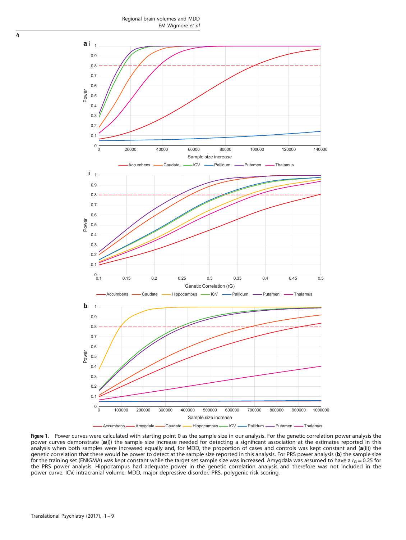Regional brain volumes and MDD EM Wigmore et al

<span id="page-4-0"></span>

Figure 1. Power curves were calculated with starting point 0 as the sample size in our analysis. For the genetic correlation power analysis the power curves demonstrate (a(i)) the sample size increase needed for detecting a significant association at the estimates reported in this analysis when both samples were increased equally and, for MDD, the proportion of cases and controls was kept constant and (a(ii)) the genetic correlation that there would be power to detect at the sample size reported in this analysis. For PRS power analysis (b) the sample size For the training set (ENIGMA) was kept constant while the target set sample size was increased. Amygdala was assumed to have a  $r_{\rm G}$  = 0.25 for the PRS power analysis. Hippocampus had adequate power in the genetic correlation analysis and therefore was not included in the power curve. ICV, intracranial volume; MDD, major depressive disorder; PRS, polygenic risk scoring.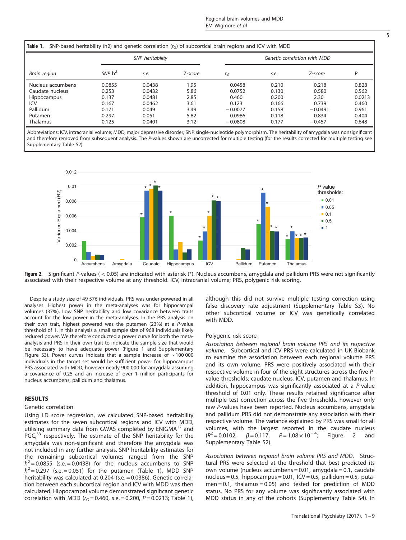| Brain region       |           | SNP heritability |         | Genetic correlation with MDD |       |           |        |  |
|--------------------|-----------|------------------|---------|------------------------------|-------|-----------|--------|--|
|                    | SNP $h^2$ | s.e.             | Z-score | $r_G$                        | s.e.  | Z-score   | D      |  |
| Nucleus accumbens  | 0.0855    | 0.0438           | 1.95    | 0.0458                       | 0.210 | 0.218     | 0.828  |  |
| Caudate nucleus    | 0.253     | 0.0432           | 5.86    | 0.0752                       | 0.130 | 0.580     | 0.562  |  |
| <b>Hippocampus</b> | 0.137     | 0.0481           | 2.85    | 0.460                        | 0.200 | 2.30      | 0.0213 |  |
| ICV                | 0.167     | 0.0462           | 3.61    | 0.123                        | 0.166 | 0.739     | 0.460  |  |
| Pallidum           | 0.171     | 0.049            | 3.49    | $-0.0077$                    | 0.158 | $-0.0491$ | 0.961  |  |
| Putamen            | 0.297     | 0.051            | 5.82    | 0.0986                       | 0.118 | 0.834     | 0.404  |  |
| Thalamus           | 0.125     | 0.0401           | 3.12    | $-0.0808$                    | 0.177 | $-0.457$  | 0.648  |  |

Abbreviations: ICV, intracranial volume; MDD, major depressive disorder; SNP, single-nucleotide polymorphism. The heritability of amygdala was nonsignificant and therefore removed from subsequent analysis. The P-values shown are uncorrected for multiple testing (for the results corrected for multiple testing see Supplementary Table S2).



Figure 2. Significant P-values ( $< 0.05$ ) are indicated with asterisk (\*). Nucleus accumbens, amygdala and pallidum PRS were not significantly associated with their respective volume at any threshold. ICV, intracranial volume; PRS, polygenic risk scoring.

Despite a study size of 49 576 individuals, PRS was under-powered in all analyses. Highest power in the meta-analyses was for hippocampal volumes (37%). Low SNP heritability and low covariance between traits account for the low power in the meta-analyses. In the PRS analysis on their own trait, highest powered was the putamen  $(23%)$  at a P-value threshold of 1. In this analysis a small sample size of 968 individuals likely reduced power. We therefore conducted a power curve for both the metaanalysis and PRS in their own trait to indicate the sample size that would be necessary to have adequate power ([Figure 1](#page-4-0) and Supplementary Figure S3). Power curves indicate that a sample increase of  $\sim$  100 000 individuals in the target set would be sufficient power for hippocampus PRS associated with MDD, however nearly 900 000 for amygdala assuming a covariance of 0.25 and an increase of over 1 million participants for nucleus accumbens, pallidum and thalamus.

#### RESULTS

#### Genetic correlation

Using LD score regression, we calculated SNP-based heritability estimates for the seven subcortical regions and ICV with MDD, utilising summary data from GWAS completed by ENIGMA<sup>[17](#page-8-0)</sup> and PGC,<sup>[33](#page-9-0)</sup> respectively. The estimate of the SNP heritability for the amygdala was non-significant and therefore the amygdala was not included in any further analysis. SNP heritability estimates for the remaining subcortical volumes ranged from the SNP  $h^2$  = 0.0855 (s.e. = 0.0438) for the nucleus accumbens to SNP  $h^2$  = 0.297 (s.e. = 0.051) for the putamen (Table 1). MDD SNP heritability was calculated at 0.204 (s.e. = 0.0386). Genetic correlation between each subcortical region and ICV with MDD was then calculated. Hippocampal volume demonstrated significant genetic correlation with MDD ( $r_G$  = 0.460, s.e. = 0.200, P = 0.0213; Table 1), although this did not survive multiple testing correction using false discovery rate adjustment (Supplementary Table S3). No other subcortical volume or ICV was genetically correlated with MDD.

#### Polygenic risk score

Association between regional brain volume PRS and its respective volume. Subcortical and ICV PRS were calculated in UK Biobank to examine the association between each regional volume PRS and its own volume. PRS were positively associated with their respective volume in four of the eight structures across the five Pvalue thresholds; caudate nucleus, ICV, putamen and thalamus. In addition, hippocampus was significantly associated at a P-value threshold of 0.01 only. These results retained significance after multiple test correction across the five thresholds, however only raw P-values have been reported. Nucleus accumbens, amygdala and pallidum PRS did not demonstrate any association with their respective volume. The variance explained by PRS was small for all volumes, with the largest reported in the caudate nucleus  $(R^2 = 0.0102, \beta = 0.117, \beta = 1.08 \times 10^{-4};$  Figure 2 and Supplementary Table S2).

Association between regional brain volume PRS and MDD. Structural PRS were selected at the threshold that best predicted its own volume (nucleus accumbens = 0.01, amygdala = 0.1, caudate nucleus = 0.5, hippocampus = 0.01, ICV = 0.5, pallidum = 0.5, puta $men = 0.1$ , thalamus = 0.05) and tested for prediction of MDD status. No PRS for any volume was significantly associated with MDD status in any of the cohorts (Supplementary Table S4). In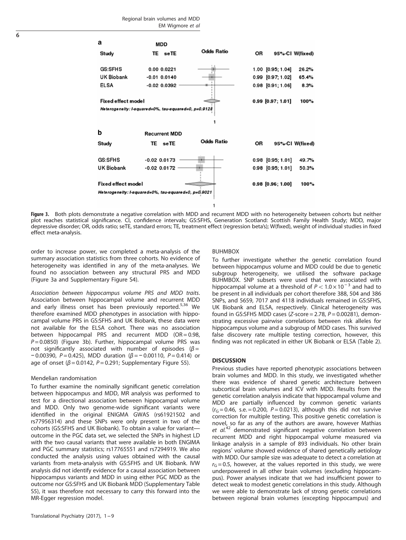

Figure 3. Both plots demonstrate a negative correlation with MDD and recurrent MDD with no heterogeneity between cohorts but neither plot reaches statistical significance. CI, confidence intervals; GS:SFHS, Generation Scotland: Scottish Family Health Study; MDD, major depressive disorder; OR, odds ratio; seTE, standard errors; TE, treatment effect (regression beta's); W(fixed), weight of individual studies in fixed effect meta-analysis.

order to increase power, we completed a meta-analysis of the summary association statistics from three cohorts. No evidence of heterogeneity was identified in any of the meta-analyses. We found no association between any structural PRS and MDD (Figure 3a and Supplementary Figure S4).

Association between hippocampus volume PRS and MDD traits. Association between hippocampal volume and recurrent MDD and early illness onset has been previously reported.<sup>[5,](#page-8-0)[36](#page-9-0)</sup> We therefore examined MDD phenotypes in association with hippocampal volume PRS in GS:SFHS and UK Biobank, these data were not available for the ELSA cohort. There was no association between hippocampal PRS and recurrent MDD (OR = 0.98,  $P = 0.0850$ ) (Figure 3b). Further, hippocampal volume PRS was not significantly associated with number of episodes ( $\beta$  =  $-0.00390$ , P = 0.425), MDD duration (β = -0.00110, P = 0.414) or age of onset ( $\beta$  = 0.0142, P = 0.291; Supplementary Figure S5).

#### Mendelian randomisation

To further examine the nominally significant genetic correlation between hippocampus and MDD, MR analysis was performed to test for a directional association between hippocampal volume and MDD. Only two genome-wide significant variants were identified in the original ENIGMA GWAS (rs61921502 and rs77956314) and these SNPs were only present in two of the cohorts (GS:SFHS and UK Biobank). To obtain a value for variant outcome in the PGC data set, we selected the SNPs in highest LD with the two causal variants that were available in both ENGIMA and PGC summary statistics; rs17765551 and rs7294919. We also conducted the analysis using values obtained with the causal variants from meta-analysis with GS:SFHS and UK Biobank. IVW analysis did not identify evidence for a causal association between hippocampus variants and MDD in using either PGC MDD as the outcome nor GS:SFHS and UK Biobank MDD (Supplementary Table S5), it was therefore not necessary to carry this forward into the MR-Egger regression model.

#### BUHMBOX

To further investigate whether the genetic correlation found between hippocampus volume and MDD could be due to genetic subgroup heterogeneity, we utilised the software package BUHMBOX. SNP subsets were used that were associated with hippocampal volume at a threshold of  $P < 1.0 \times 10^{-3}$  and had to be present in all individuals per cohort therefore 388, 504 and 386 SNPs, and 5659, 7017 and 4118 individuals remained in GS:SFHS, UK Biobank and ELSA, respectively. Clinical heterogeneity was found in GS:SFHS MDD cases (Z-score = 2.78,  $P = 0.00281$ ), demonstrating excessive pairwise correlations between risk alleles for hippocampus volume and a subgroup of MDD cases. This survived false discovery rate multiple testing correction, however, this finding was not replicated in either UK Biobank or ELSA ([Table 2](#page-7-0)).

#### **DISCUSSION**

Previous studies have reported phenotypic associations between brain volumes and MDD. In this study, we investigated whether there was evidence of shared genetic architecture between subcortical brain volumes and ICV with MDD. Results from the genetic correlation analysis indicate that hippocampal volume and MDD are partially influenced by common genetic variants  $(r_{G} = 0.46, s.e. = 0.200, P = 0.0213)$ , although this did not survive correction for multiple testing. This positive genetic correlation is novel, so far as any of the authors are aware, however Mathias et  $al^{42}$  $al^{42}$  $al^{42}$  demonstrated significant negative correlation between recurrent MDD and right hippocampal volume measured via linkage analysis in a sample of 893 individuals. No other brain regions' volume showed evidence of shared genetically aetiology with MDD. Our sample size was adequate to detect a correlation at  $r<sub>G</sub> = 0.5$ , however, at the values reported in this study, we were underpowered in all other brain volumes (excluding hippocampus). Power analyses indicate that we had insufficient power to detect weak to modest genetic correlations in this study. Although we were able to demonstrate lack of strong genetic correlations between regional brain volumes (excepting hippocampus) and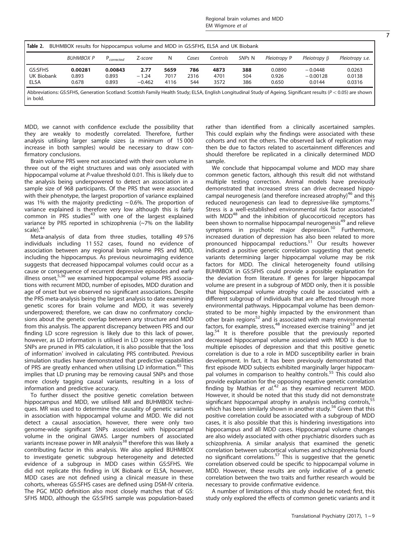<span id="page-7-0"></span>

| Table 2.<br>BUHMBOX results for hippocampus volume and MDD in GS:SFHS, ELSA and UK Biobank                                                                                      |           |                 |          |      |       |          |        |              |                    |                 |  |
|---------------------------------------------------------------------------------------------------------------------------------------------------------------------------------|-----------|-----------------|----------|------|-------|----------|--------|--------------|--------------------|-----------------|--|
|                                                                                                                                                                                 | BUHMBOX P | $P_{corrected}$ | Z-score  | N    | Cases | Controls | SNPs N | Pleiotropy P | Pleiotropy $\beta$ | Pleiotropy s.e. |  |
| GS:SFHS                                                                                                                                                                         | 0.00281   | 0.00843         | 2.77     | 5659 | 786   | 4873     | 388    | 0.0890       | $-0.0448$          | 0.0263          |  |
| UK Biobank                                                                                                                                                                      | 0.893     | 0.893           | $-1.24$  | 7017 | 2316  | 4701     | 504    | 0.926        | $-0.00128$         | 0.0138          |  |
| <b>ELSA</b>                                                                                                                                                                     | 0.678     | 0.893           | $-0.462$ | 4116 | 544   | 3572     | 386    | 0.650        | 0.0144             | 0.0316          |  |
| Abbreviations: GS:SFHS, Generation Scotland: Scottish Family Health Study; ELSA, English Longitudinal Study of Ageing. Significant results ( $P < 0.05$ ) are shown<br>in bold. |           |                 |          |      |       |          |        |              |                    |                 |  |

MDD, we cannot with confidence exclude the possibility that they are weakly to modestly correlated. Therefore, further analysis utilising larger sample sizes (a minimum of 15 000 increase in both samples) would be necessary to draw confirmatory conclusions.

Brain volume PRS were not associated with their own volume in three out of the eight structures and was only associated with hippocampal volume at P-value threshold 0.01. This is likely due to the analysis being underpowered to detect an association in a sample size of 968 participants. Of the PRS that were associated with their phenotype, the largest proportion of variance explained was 1% with the majority predicting  $\sim$  0.6%. The proportion of variance explained is therefore very low although this is fairly common in PRS studies $43$  with one of the largest explained variance by PRS reported in schizophrenia (~7% on the liability scale).<sup>[44](#page-9-0)</sup>

Meta-analysis of data from three studies, totalling 49 576 individuals including 11 552 cases, found no evidence of association between any regional brain volume PRS and MDD, including the hippocampus. As previous neuroimaging evidence suggests that decreased hippocampal volumes could occur as a cause or consequence of recurrent depressive episodes and early illness onset,<sup>[5,](#page-8-0)[36](#page-9-0)</sup> we examined hippocampal volume PRS associations with recurrent MDD, number of episodes, MDD duration and age of onset but we observed no significant associations. Despite the PRS meta-analysis being the largest analysis to date examining genetic scores for brain volume and MDD, it was severely underpowered; therefore, we can draw no confirmatory conclusions about the genetic overlap between any structure and MDD from this analysis. The apparent discrepancy between PRS and our finding LD score regression is likely due to this lack of power, however, as LD information is utilised in LD score regression and SNPs are pruned in PRS calculation, it is also possible that the 'loss of information' involved in calculating PRS contributed. Previous simulation studies have demonstrated that predictive capabilities of PRS are greatly enhanced when utilising LD information.<sup>[45](#page-9-0)</sup> This implies that LD pruning may be removing causal SNPs and those more closely tagging causal variants, resulting in a loss of information and predictive accuracy.

To further dissect the positive genetic correlation between hippocampus and MDD, we utilised MR and BUHMBOX techniques. MR was used to determine the causality of genetic variants in association with hippocampal volume and MDD. We did not detect a causal association, however, there were only two genome-wide significant SNPs associated with hippocampal volume in the original GWAS. Larger numbers of associated variants increase power in MR analysis<sup>[38](#page-9-0)</sup> therefore this was likely a contributing factor in this analysis. We also applied BUHMBOX to investigate genetic subgroup heterogeneity and detected evidence of a subgroup in MDD cases within GS:SFHS. We did not replicate this finding in UK Biobank or ELSA, however, MDD cases are not defined using a clinical measure in these cohorts, whereas GS:SFHS cases are defined using DSM-IV criteria. The PGC MDD definition also most closely matches that of GS: SFHS MDD, although the GS:SFHS sample was population-based rather than identified from a clinically ascertained samples. This could explain why the findings were associated with these cohorts and not the others. The observed lack of replication may then be due to factors related to ascertainment differences and should therefore be replicated in a clinically determined MDD sample.

We conclude that hippocampal volume and MDD may share common genetic factors, although this result did not withstand multiple testing correction. Animal models have previously demonstrated that increased stress can drive decreased hippo-campal neurogenesis (and therefore increased atrophy)<sup>[46](#page-9-0)</sup> and this reduced neurogenesis can lead to depressive-like symptoms.<sup>4</sup> Stress is a well-established environmental risk factor associated with MDD<sup>[48](#page-9-0)</sup> and the inhibition of glucocorticoid receptors has been shown to normalise hippocampal neurogenesis<sup>[49](#page-9-0)</sup> and relieve symptoms in psychotic major depression.<sup>[50](#page-9-0)</sup> Furthermore, increased duration of depression has also been related to more pronounced hippocampal reductions.<sup>[51](#page-9-0)</sup> Our results however indicated a positive genetic correlation suggesting that genetic variants determining larger hippocampal volume may be risk factors for MDD. The clinical heterogeneity found utilising BUHMBOX in GS:SFHS could provide a possible explanation for the deviation from literature. If genes for larger hippocampal volume are present in a subgroup of MDD only, then it is possible that hippocampal volume atrophy could be associated with a different subgroup of individuals that are affected through more environmental pathways. Hippocampal volume has been demonstrated to be more highly impacted by the environment than other brain regions<sup>[52](#page-9-0)</sup> and is associated with many environmental factors, for example, stress, $48$  increased exercise training $53$  and jet  $\log^{54}$  $\log^{54}$  $\log^{54}$  It is therefore possible that the previously reported decreased hippocampal volume associated with MDD is due to multiple episodes of depression and that this positive genetic correlation is due to a role in MDD susceptibility earlier in brain development. In fact, it has been previously demonstrated that first episode MDD subjects exhibited marginally larger hippocam-pal volumes in comparison to healthy controls.<sup>[55](#page-9-0)</sup> This could also provide explanation for the opposing negative genetic correlation finding by Mathias et  $al^{42}$  $al^{42}$  $al^{42}$  as they examined recurrent MDD. However, it should be noted that this study did not demonstrate significant hippocampal atrophy in analysis including controls,<sup>[55](#page-9-0)</sup> which has been similarly shown in another study.<sup>[56](#page-9-0)</sup> Given that this positive correlation could be associated with a subgroup of MDD cases, it is also possible that this is hindering investigations into hippocampus and all MDD cases. Hippocampal volume changes are also widely associated with other psychiatric disorders such as schizophrenia. A similar analysis that examined the genetic correlation between subcortical volumes and schizophrenia found no significant correlations. $57$  This is suggestive that the genetic correlation observed could be specific to hippocampal volume in MDD. However, these results are only indicative of a genetic correlation between the two traits and further research would be necessary to provide confirmative evidence.

A number of limitations of this study should be noted; first, this study only explored the effects of common genetic variants and it

Translational Psychiatry (2017), 1 – 9

7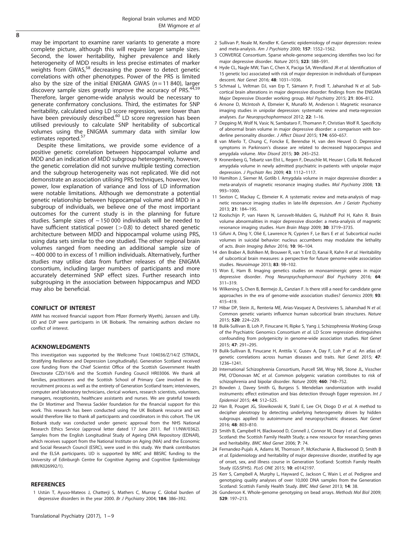<span id="page-8-0"></span>may be important to examine rarer variants to generate a more complete picture, although this will require larger sample sizes. Second, the lower heritability, higher prevalence and likely heterogeneity of MDD results in less precise estimates of marker weights from GWAS, $58$  decreasing the power to detect genetic correlations with other phenotypes. Power of the PRS is limited also by the size of the initial ENIGMA GWAS ( $n = 11\,840$ ), larger discovery sample sizes greatly improve the accuracy of PRS.<sup>4</sup> Therefore, larger genome-wide analysis would be necessary to generate confirmatory conclusions. Third, the estimates for SNP heritability, calculated using LD score regression, were lower than have been previously described.<sup>[60](#page-9-0)</sup> LD score regression has been utilised previously to calculate SNP heritability of subcortical volumes using the ENIGMA summary data with similar low estimates reported.<sup>[57](#page-9-0)</sup>

Despite these limitations, we provide some evidence of a positive genetic correlation between hippocampal volume and MDD and an indication of MDD subgroup heterogeneity, however, the genetic correlation did not survive multiple testing correction and the subgroup heterogeneity was not replicated. We did not demonstrate an association utilising PRS techniques, however, low power, low explanation of variance and loss of LD information were notable limitations. Although we demonstrate a potential genetic relationship between hippocampal volume and MDD in a subgroup of individuals, we believe one of the most important outcomes for the current study is in the planning for future studies. Sample sizes of  $\sim$  150 000 individuals will be needed to have sufficient statistical power  $(>0.8)$  to detect shared genetic architecture between MDD and hippocampal volume using PRS, using data sets similar to the one studied. The other regional brain volumes ranged from needing an additional sample size of ~ 400 000 to in excess of 1 million individuals. Alternatively, further studies may utilise data from further releases of the ENIGMA consortium, including larger numbers of participants and more accurately determined SNP effect sizes. Further research into subgrouping in the association between hippocampus and MDD may also be beneficial.

#### CONFLICT OF INTEREST

AMM has received financial support from Pfizer (formerly Wyeth), Janssen and Lilly. IJD and DJP were participants in UK Biobank. The remaining authors declare no conflict of interest.

#### ACKNOWLEDGMENTS

This investigation was supported by the Wellcome Trust 104036/Z/14/Z (STRADL, Stratifying Resilience and Depression Longitudinally). Generation Scotland received core funding from the Chief Scientist Office of the Scottish Government Health Directorate CZD/16/6 and the Scottish Funding Council HR03006. We thank all families, practitioners and the Scottish School of Primary Care involved in the recruitment process as well as the entirety of Generation Scotland team; interviewers, computer and laboratory technicians, clerical workers, research scientists, volunteers, managers, receptionists, healthcare assistants and nurses. We are grateful towards the Dr Mortimer and Theresa Sackler foundation for the financial support for this work. This research has been conducted using the UK Biobank resource and we would therefore like to thank all participants and coordinators in this cohort. The UK Biobank study was conducted under generic approval from the NHS National Research Ethics Service (approval letter dated 17 June 2011. Ref 11/NW/0362). Samples from the English Longitudinal Study of Ageing DNA Repository (EDNAR), which receives support from the National Institute on Aging (NIA) and the Economic and Social Research Council (ESRC), were used in this study. We thank contributors and the ELSA participants. IJD is supported by MRC and BBSRC funding to the University of Edinburgh Centre for Cognitive Ageing and Cognitive Epidemiology (MR/K026992/1).

#### **REFERENCES**

1 Ustün T, Ayuso-Mateos J, Chatterji S, Mathers C, Murray C. Global burden of depressive disorders in the year 2000. Br J Psychiatry 2004; 184: 386-392.

- 2 Sullivan P, Neale M, Kendler K. Genetic epidemiology of major depression: review and meta-analysis. Am J Psychiatry 2000; 157: 1552–1562.
- 3 CONVERGE Consortium. Sparse whole-genome sequencing identifies two loci for major depressive disorder. Nature 2015; 523: 588–591.
- 4 Hyde CL, Nagle MW, Tian C, Chen X, Paciga SA, Wendland JR et al. Identification of 15 genetic loci associated with risk of major depression in individuals of European descent. Nat Genet 2016; 48: 1031–1036.
- 5 Schmaal L, Veltman DJ, van Erp T, Sämann P, Frodl T, Jahanshad N et al. Subcortical brain alterations in major depressive disorder: findings from the ENIGMA Major Depressive Disorder working group. Mol Psychiatry 2015; 21: 806–812.
- 6 Arnone D, McIntosh A, Ebmeier K, Munafò M, Anderson I. Magnetic resonance imaging studies in unipolar depression: systematic review and meta-regression analyses. Eur Neuropsychopharmacol 2012; 22: 1–16.
- 7 Depping M, Wolf N, Vasic N, Sambataro F, Thomann P, Christian Wolf R. Specificity of abnormal brain volume in major depressive disorder: a comparison with borderline personality disorder. J Affect Disord 2015; 174: 650-657.
- 8 van Mierlo T, Chung C, Foncke E, Berendse H, van den Heuvel O. Depressive symptoms in Parkinson's disease are related to decreased hippocampus and amygdala volume. Mov Disord 2015; 30: 245–252.
- 9 Kronenberg G, Tebartz van Elst L, Regen F, Deuschle M, Heuser I, Colla M. Reduced amygdala volume in newly admitted psychiatric in-patients with unipolar major depression. J Psychiatr Res 2009; 43: 1112–1117.
- 10 Hamilton J, Siemer M, Gotlib I. Amygdala volume in major depressive disorder: a meta-analysis of magnetic resonance imaging studies. Mol Psychiatry 2008; 13: 993–1000.
- 11 Sexton C, Mackay C, Ebmeier K. A systematic review and meta-analysis of magnetic resonance imaging studies in late-life depression. Am J Geriatr Psychiatry 2013; 21: 184–195.
- 12 Koolschijn P, van Haren N, Lensvelt-Mulders G, Hulshoff Pol H, Kahn R. Brain volume abnormalities in major depressive disorder: a meta-analysis of magnetic resonance imaging studies. Hum Brain Mapp 2009; 30: 3719–3735.
- 13 Gifuni A, Ding Y, Olié E, Lawrence N, Cyprien F, Le Bars E et al. Subcortical nuclei volumes in suicidal behavior: nucleus accumbens may modulate the lethality of acts. Brain Imaging Behav 2016; 10: 96–104.
- 14 den Braber A, Bohlken M, Brouwer R, van 't Ent D, Kanai R, Kahn R et al. Heritability of subcortical brain measures: a perspective for future genome-wide association studies. Neuroimage 2013; 83: 98–102.
- 15 Won E, Ham B. Imaging genetics studies on monoaminergic genes in major depressive disorder. Prog Neuropsychopharmacol Biol Psychiatry 2016; 64: 311–319.
- 16 Wilkening S, Chen B, Bermejo JL, Canzian F. Is there still a need for candidate gene approaches in the era of genome-wide association studies? Genomics 2009; 93: 415–419.
- 17 Hibar DP, Stein JL, Renteria ME, Arias-Vasquez A, Desrivieres S, Jahanshad N et al. Common genetic variants influence human subcortical brain structures. Nature 2015; 520: 224–229.
- 18 Bulik-Sullivan B, Loh P, Finucane H, Ripke S, Yang J, Schizophrenia Working Group of the Psychiatric Genomics Consortium et al. LD Score regression distinguishes confounding from polygenicity in genome-wide association studies. Nat Genet 2015; 47: 291–295.
- 19 Bulik-Sullivan B, Finucane H, Anttila V, Gusev A, Day F, Loh P et al. An atlas of genetic correlations across human diseases and traits. Nat Genet 2015; 47: 1236–1241.
- 20 International Schizophrenia Consortium, Purcell SM, Wray NR, Stone JL, Visscher PM, O'Donovan MC et al. Common polygenic variation contributes to risk of schizophrenia and bipolar disorder. Nature 2009; 460: 748–752.
- 21 Bowden J, Davey Smith G, Burgess S. Mendelian randomization with invalid instruments: effect estimation and bias detection through Egger regression. Int J Epidemiol 2015; 44: 512–525.
- 22 Han B, Pouget JG, Slowikowski K, Stahl E, Lee CH, Diogo D et al. A method to decipher pleiotropy by detecting underlying heterogeneity driven by hidden subgroups applied to autoimmune and neuropsychiatric diseases. Nat Genet 2016; 48: 803–810.
- 23 Smith B, Campbell H, Blackwood D, Connell J, Connor M, Deary I et al. Generation Scotland: the Scottish Family Health Study; a new resource for researching genes and heritability. BMC Med Genet 2006; 7: 74.
- 24 Fernandez-Pujals A, Adams M, Thomson P, McKechanie A, Blackwood D, Smith B et al. Epidemiology and heritability of major depressive disorder, stratified by age of onset, sex, and illness course in Generation Scotland: Scottish Family Health Study (GS:SFHS). PLoS ONE 2015; 10: e0142197.
- 25 Kerr S, Campbell A, Murphy L, Hayward C, Jackson C, Wain L et al. Pedigree and genotyping quality analyses of over 10,000 DNA samples from the Generation Scotland: Scottish Family Health Study. BMC Med Genet 2013; 14: 38.
- 26 Gunderson K. Whole-genome genotyping on bead arrays. Methods Mol Biol 2009; 529: 197–213.